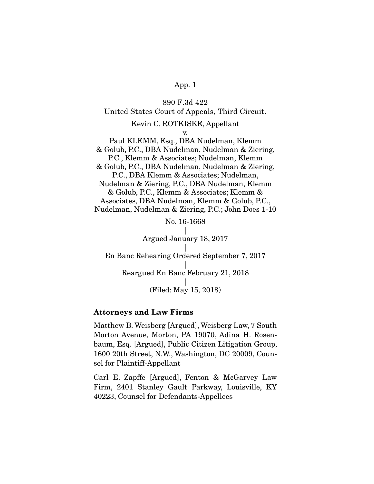890 F.3d 422 United States Court of Appeals, Third Circuit. Kevin C. ROTKISKE, Appellant v. Paul KLEMM, Esq., DBA Nudelman, Klemm & Golub, P.C., DBA Nudelman, Nudelman & Ziering, P.C., Klemm & Associates; Nudelman, Klemm & Golub, P.C., DBA Nudelman, Nudelman & Ziering, P.C., DBA Klemm & Associates; Nudelman, Nudelman & Ziering, P.C., DBA Nudelman, Klemm & Golub, P.C., Klemm & Associates; Klemm & Associates, DBA Nudelman, Klemm & Golub, P.C., Nudelman, Nudelman & Ziering, P.C.; John Does 1-10 No. 16-1668 | Argued January 18, 2017  $\vert$ En Banc Rehearing Ordered September 7, 2017 | Reargued En Banc February 21, 2018 |

(Filed: May 15, 2018)

### Attorneys and Law Firms

Matthew B. Weisberg [Argued], Weisberg Law, 7 South Morton Avenue, Morton, PA 19070, Adina H. Rosenbaum, Esq. [Argued], Public Citizen Litigation Group, 1600 20th Street, N.W., Washington, DC 20009, Counsel for Plaintiff-Appellant

Carl E. Zapffe [Argued], Fenton & McGarvey Law Firm, 2401 Stanley Gault Parkway, Louisville, KY 40223, Counsel for Defendants-Appellees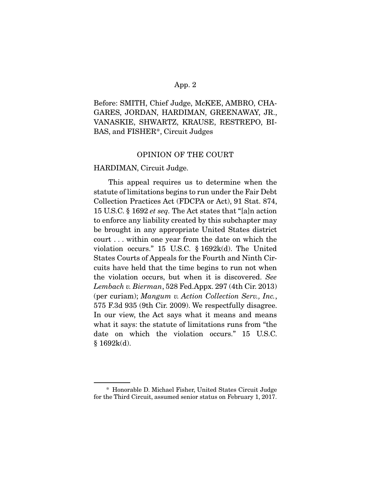Before: SMITH, Chief Judge, McKEE, AMBRO, CHA-GARES, JORDAN, HARDIMAN, GREENAWAY, JR., VANASKIE, SHWARTZ, KRAUSE, RESTREPO, BI-BAS, and FISHER\*, Circuit Judges

## OPINION OF THE COURT

#### HARDIMAN, Circuit Judge.

 This appeal requires us to determine when the statute of limitations begins to run under the Fair Debt Collection Practices Act (FDCPA or Act), 91 Stat. 874, 15 U.S.C. § 1692 *et seq.* The Act states that "[a]n action to enforce any liability created by this subchapter may be brought in any appropriate United States district court . . . within one year from the date on which the violation occurs." 15 U.S.C. § 1692k(d). The United States Courts of Appeals for the Fourth and Ninth Circuits have held that the time begins to run not when the violation occurs, but when it is discovered. *See Lembach v. Bierman*, 528 Fed.Appx. 297 (4th Cir. 2013) (per curiam); *Mangum v. Action Collection Serv., Inc.*, 575 F.3d 935 (9th Cir. 2009). We respectfully disagree. In our view, the Act says what it means and means what it says: the statute of limitations runs from "the date on which the violation occurs." 15 U.S.C.  $§ 1692k(d).$ 

 <sup>\*</sup> Honorable D. Michael Fisher, United States Circuit Judge for the Third Circuit, assumed senior status on February 1, 2017.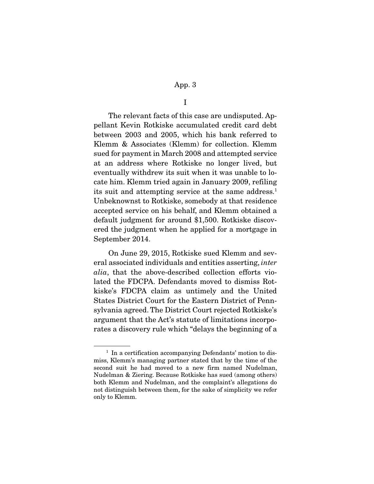I

 The relevant facts of this case are undisputed. Appellant Kevin Rotkiske accumulated credit card debt between 2003 and 2005, which his bank referred to Klemm & Associates (Klemm) for collection. Klemm sued for payment in March 2008 and attempted service at an address where Rotkiske no longer lived, but eventually withdrew its suit when it was unable to locate him. Klemm tried again in January 2009, refiling its suit and attempting service at the same address.<sup>1</sup> Unbeknownst to Rotkiske, somebody at that residence accepted service on his behalf, and Klemm obtained a default judgment for around \$1,500. Rotkiske discovered the judgment when he applied for a mortgage in September 2014.

 On June 29, 2015, Rotkiske sued Klemm and several associated individuals and entities asserting, *inter alia*, that the above-described collection efforts violated the FDCPA. Defendants moved to dismiss Rotkiske's FDCPA claim as untimely and the United States District Court for the Eastern District of Pennsylvania agreed. The District Court rejected Rotkiske's argument that the Act's statute of limitations incorporates a discovery rule which "delays the beginning of a

<sup>&</sup>lt;sup>1</sup> In a certification accompanying Defendants' motion to dismiss, Klemm's managing partner stated that by the time of the second suit he had moved to a new firm named Nudelman, Nudelman & Ziering. Because Rotkiske has sued (among others) both Klemm and Nudelman, and the complaint's allegations do not distinguish between them, for the sake of simplicity we refer only to Klemm.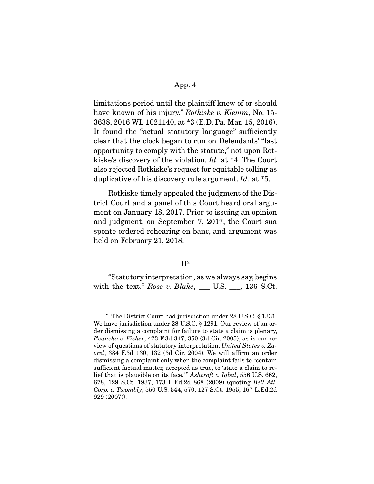limitations period until the plaintiff knew of or should have known of his injury." *Rotkiske v. Klemm*, No. 15- 3638, 2016 WL 1021140, at \*3 (E.D. Pa. Mar. 15, 2016). It found the "actual statutory language" sufficiently clear that the clock began to run on Defendants' "last opportunity to comply with the statute," not upon Rotkiske's discovery of the violation. *Id.* at \*4. The Court also rejected Rotkiske's request for equitable tolling as duplicative of his discovery rule argument. *Id.* at \*5.

 Rotkiske timely appealed the judgment of the District Court and a panel of this Court heard oral argument on January 18, 2017. Prior to issuing an opinion and judgment, on September 7, 2017, the Court sua sponte ordered rehearing en banc, and argument was held on February 21, 2018.

#### $II<sup>2</sup>$

 "Statutory interpretation, as we always say, begins with the text." *Ross v. Blake*, \_\_\_ U.S. \_\_\_, 136 S.Ct.

<sup>2</sup> The District Court had jurisdiction under 28 U.S.C. § 1331. We have jurisdiction under 28 U.S.C. § 1291. Our review of an order dismissing a complaint for failure to state a claim is plenary, *Evancho v. Fisher*, 423 F.3d 347, 350 (3d Cir. 2005), as is our review of questions of statutory interpretation, *United States v. Zavrel*, 384 F.3d 130, 132 (3d Cir. 2004). We will affirm an order dismissing a complaint only when the complaint fails to "contain sufficient factual matter, accepted as true, to 'state a claim to relief that is plausible on its face.' " *Ashcroft v. Iqbal*, 556 U.S. 662, 678, 129 S.Ct. 1937, 173 L.Ed.2d 868 (2009) (quoting *Bell Atl. Corp. v. Twombly*, 550 U.S. 544, 570, 127 S.Ct. 1955, 167 L.Ed.2d 929 (2007)).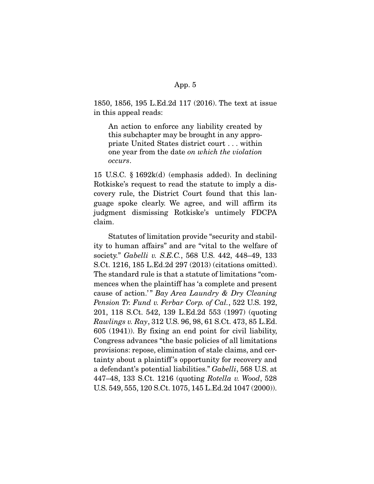1850, 1856, 195 L.Ed.2d 117 (2016). The text at issue in this appeal reads:

An action to enforce any liability created by this subchapter may be brought in any appropriate United States district court . . . within one year from the date *on which the violation occurs*.

15 U.S.C. § 1692k(d) (emphasis added). In declining Rotkiske's request to read the statute to imply a discovery rule, the District Court found that this language spoke clearly. We agree, and will affirm its judgment dismissing Rotkiske's untimely FDCPA claim.

 Statutes of limitation provide "security and stability to human affairs" and are "vital to the welfare of society." *Gabelli v. S.E.C.*, 568 U.S. 442, 448–49, 133 S.Ct. 1216, 185 L.Ed.2d 297 (2013) (citations omitted). The standard rule is that a statute of limitations "commences when the plaintiff has 'a complete and present cause of action.'" Bay Area Laundry & Dry Cleaning *Pension Tr. Fund v. Ferbar Corp. of Cal.*, 522 U.S. 192, 201, 118 S.Ct. 542, 139 L.Ed.2d 553 (1997) (quoting *Rawlings v. Ray*, 312 U.S. 96, 98, 61 S.Ct. 473, 85 L.Ed. 605 (1941)). By fixing an end point for civil liability, Congress advances "the basic policies of all limitations provisions: repose, elimination of stale claims, and certainty about a plaintiff 's opportunity for recovery and a defendant's potential liabilities." *Gabelli*, 568 U.S. at 447–48, 133 S.Ct. 1216 (quoting *Rotella v. Wood*, 528 U.S. 549, 555, 120 S.Ct. 1075, 145 L.Ed.2d 1047 (2000)).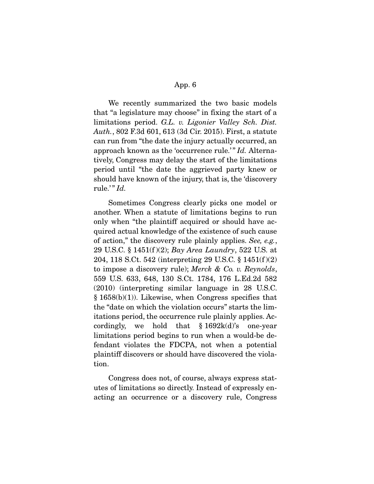We recently summarized the two basic models that "a legislature may choose" in fixing the start of a limitations period. *G.L. v. Ligonier Valley Sch. Dist. Auth.*, 802 F.3d 601, 613 (3d Cir. 2015). First, a statute can run from "the date the injury actually occurred, an approach known as the 'occurrence rule.'" *Id.* Alternatively, Congress may delay the start of the limitations period until "the date the aggrieved party knew or should have known of the injury, that is, the 'discovery rule.'" *Id.* 

 Sometimes Congress clearly picks one model or another. When a statute of limitations begins to run only when "the plaintiff acquired or should have acquired actual knowledge of the existence of such cause of action," the discovery rule plainly applies. *See, e.g.*, 29 U.S.C. § 1451(f )(2); *Bay Area Laundry*, 522 U.S. at 204, 118 S.Ct. 542 (interpreting 29 U.S.C. § 1451(f )(2) to impose a discovery rule); *Merck & Co. v. Reynolds*, 559 U.S. 633, 648, 130 S.Ct. 1784, 176 L.Ed.2d 582 (2010) (interpreting similar language in 28 U.S.C.  $§ 1658(b)(1)$ . Likewise, when Congress specifies that the "date on which the violation occurs" starts the limitations period, the occurrence rule plainly applies. Accordingly, we hold that  $$1692k(d)$ 's one-year limitations period begins to run when a would-be defendant violates the FDCPA, not when a potential plaintiff discovers or should have discovered the violation.

 Congress does not, of course, always express statutes of limitations so directly. Instead of expressly enacting an occurrence or a discovery rule, Congress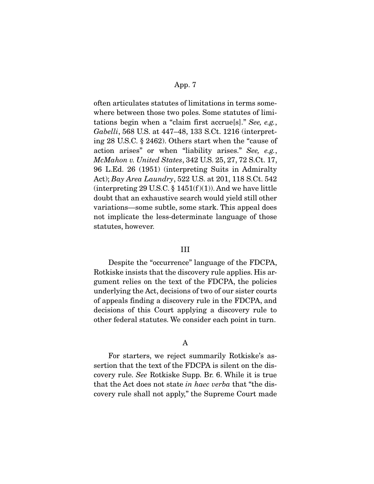often articulates statutes of limitations in terms somewhere between those two poles. Some statutes of limitations begin when a "claim first accrue[s]." *See, e.g.*, *Gabelli*, 568 U.S. at 447–48, 133 S.Ct. 1216 (interpreting 28 U.S.C. § 2462). Others start when the "cause of action arises" or when "liability arises." *See, e.g.*, *McMahon v. United States*, 342 U.S. 25, 27, 72 S.Ct. 17, 96 L.Ed. 26 (1951) (interpreting Suits in Admiralty Act); *Bay Area Laundry*, 522 U.S. at 201, 118 S.Ct. 542 (interpreting 29 U.S.C.  $\S$  1451(f)(1)). And we have little doubt that an exhaustive search would yield still other variations—some subtle, some stark. This appeal does not implicate the less-determinate language of those statutes, however.

### III

 Despite the "occurrence" language of the FDCPA, Rotkiske insists that the discovery rule applies. His argument relies on the text of the FDCPA, the policies underlying the Act, decisions of two of our sister courts of appeals finding a discovery rule in the FDCPA, and decisions of this Court applying a discovery rule to other federal statutes. We consider each point in turn.

### A

 For starters, we reject summarily Rotkiske's assertion that the text of the FDCPA is silent on the discovery rule. *See* Rotkiske Supp. Br. 6. While it is true that the Act does not state *in haec verba* that "the discovery rule shall not apply," the Supreme Court made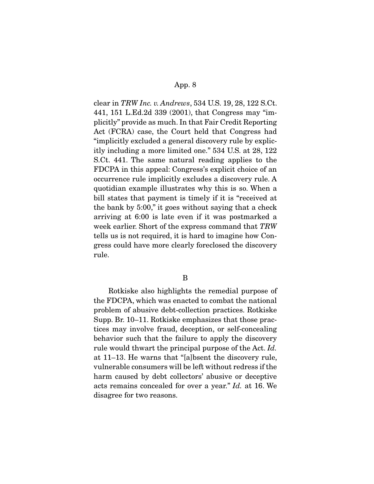clear in *TRW Inc. v. Andrews*, 534 U.S. 19, 28, 122 S.Ct. 441, 151 L.Ed.2d 339 (2001), that Congress may "implicitly" provide as much. In that Fair Credit Reporting Act (FCRA) case, the Court held that Congress had "implicitly excluded a general discovery rule by explicitly including a more limited one." 534 U.S. at 28, 122 S.Ct. 441. The same natural reading applies to the FDCPA in this appeal: Congress's explicit choice of an occurrence rule implicitly excludes a discovery rule. A quotidian example illustrates why this is so. When a bill states that payment is timely if it is "received at the bank by 5:00," it goes without saying that a check arriving at 6:00 is late even if it was postmarked a week earlier. Short of the express command that *TRW* tells us is not required, it is hard to imagine how Congress could have more clearly foreclosed the discovery rule.

#### B

 Rotkiske also highlights the remedial purpose of the FDCPA, which was enacted to combat the national problem of abusive debt-collection practices. Rotkiske Supp. Br. 10–11. Rotkiske emphasizes that those practices may involve fraud, deception, or self-concealing behavior such that the failure to apply the discovery rule would thwart the principal purpose of the Act. *Id.* at 11–13. He warns that "[a]bsent the discovery rule, vulnerable consumers will be left without redress if the harm caused by debt collectors' abusive or deceptive acts remains concealed for over a year." *Id.* at 16. We disagree for two reasons.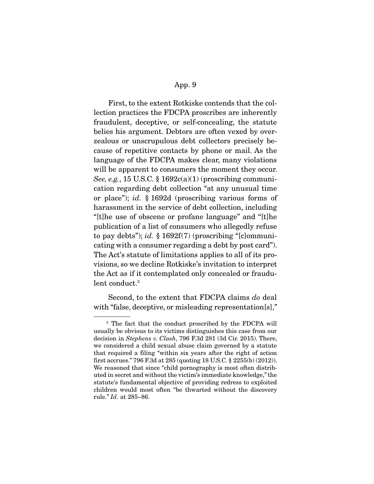First, to the extent Rotkiske contends that the collection practices the FDCPA proscribes are inherently fraudulent, deceptive, or self-concealing, the statute belies his argument. Debtors are often vexed by overzealous or unscrupulous debt collectors precisely because of repetitive contacts by phone or mail. As the language of the FDCPA makes clear, many violations will be apparent to consumers the moment they occur. *See, e.g.*, 15 U.S.C. § 1692c(a)(1) (proscribing communication regarding debt collection "at any unusual time or place"); *id.* § 1692d (proscribing various forms of harassment in the service of debt collection, including "[t]he use of obscene or profane language" and "[t]he publication of a list of consumers who allegedly refuse to pay debts"); *id.* § 1692f(7) (proscribing "[c]ommunicating with a consumer regarding a debt by post card"). The Act's statute of limitations applies to all of its provisions, so we decline Rotkiske's invitation to interpret the Act as if it contemplated only concealed or fraudulent conduct.3

 Second, to the extent that FDCPA claims *do* deal with "false, deceptive, or misleading representation[s],"

<sup>3</sup> The fact that the conduct proscribed by the FDCPA will usually be obvious to its victims distinguishes this case from our decision in *Stephens v. Clash*, 796 F.3d 281 (3d Cir. 2015). There, we considered a child sexual abuse claim governed by a statute that required a filing "within six years after the right of action first accrues." 796 F.3d at 285 (quoting 18 U.S.C. § 2255(b) (2012)). We reasoned that since "child pornography is most often distributed in secret and without the victim's immediate knowledge," the statute's fundamental objective of providing redress to exploited children would most often "be thwarted without the discovery rule." *Id.* at 285–86.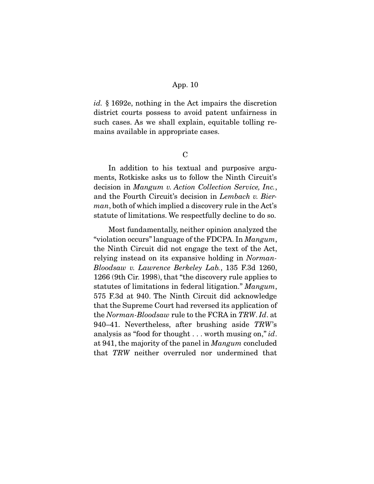*id.* § 1692e, nothing in the Act impairs the discretion district courts possess to avoid patent unfairness in such cases. As we shall explain, equitable tolling remains available in appropriate cases.

 $\overline{C}$ 

 In addition to his textual and purposive arguments, Rotkiske asks us to follow the Ninth Circuit's decision in *Mangum v. Action Collection Service, Inc.*, and the Fourth Circuit's decision in *Lembach v. Bierman*, both of which implied a discovery rule in the Act's statute of limitations. We respectfully decline to do so.

 Most fundamentally, neither opinion analyzed the "violation occurs" language of the FDCPA. In *Mangum*, the Ninth Circuit did not engage the text of the Act, relying instead on its expansive holding in *Norman-Bloodsaw v. Lawrence Berkeley Lab.*, 135 F.3d 1260, 1266 (9th Cir. 1998), that "the discovery rule applies to statutes of limitations in federal litigation." *Mangum*, 575 F.3d at 940. The Ninth Circuit did acknowledge that the Supreme Court had reversed its application of the *Norman-Bloodsaw* rule to the FCRA in *TRW*. *Id*. at 940–41. Nevertheless, after brushing aside *TRW*'s analysis as "food for thought . . . worth musing on," *id*. at 941, the majority of the panel in *Mangum* concluded that *TRW* neither overruled nor undermined that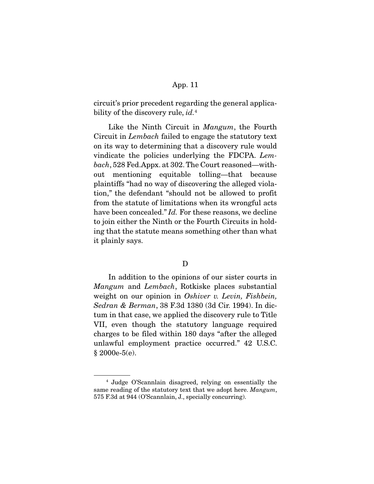circuit's prior precedent regarding the general applicability of the discovery rule, *id.*<sup>4</sup>

 Like the Ninth Circuit in *Mangum*, the Fourth Circuit in *Lembach* failed to engage the statutory text on its way to determining that a discovery rule would vindicate the policies underlying the FDCPA. *Lembach*, 528 Fed.Appx. at 302. The Court reasoned—without mentioning equitable tolling—that because plaintiffs "had no way of discovering the alleged violation," the defendant "should not be allowed to profit from the statute of limitations when its wrongful acts have been concealed." *Id.* For these reasons, we decline to join either the Ninth or the Fourth Circuits in holding that the statute means something other than what it plainly says.

# D

 In addition to the opinions of our sister courts in *Mangum* and *Lembach*, Rotkiske places substantial weight on our opinion in *Oshiver v. Levin, Fishbein, Sedran & Berman*, 38 F.3d 1380 (3d Cir. 1994). In dictum in that case, we applied the discovery rule to Title VII, even though the statutory language required charges to be filed within 180 days "after the alleged unlawful employment practice occurred." 42 U.S.C. § 2000e-5(e).

<sup>4</sup> Judge O'Scannlain disagreed, relying on essentially the same reading of the statutory text that we adopt here. *Mangum*, 575 F.3d at 944 (O'Scannlain, J., specially concurring).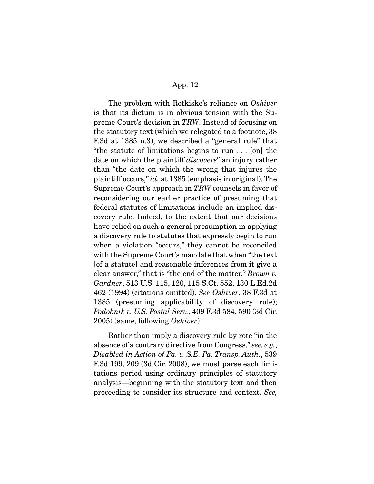The problem with Rotkiske's reliance on *Oshiver* is that its dictum is in obvious tension with the Supreme Court's decision in *TRW*. Instead of focusing on the statutory text (which we relegated to a footnote, 38 F.3d at 1385 n.3), we described a "general rule" that "the statute of limitations begins to run . . . [on] the date on which the plaintiff *discovers*" an injury rather than "the date on which the wrong that injures the plaintiff occurs," *id.* at 1385 (emphasis in original). The Supreme Court's approach in *TRW* counsels in favor of reconsidering our earlier practice of presuming that federal statutes of limitations include an implied discovery rule. Indeed, to the extent that our decisions have relied on such a general presumption in applying a discovery rule to statutes that expressly begin to run when a violation "occurs," they cannot be reconciled with the Supreme Court's mandate that when "the text [of a statute] and reasonable inferences from it give a clear answer," that is "the end of the matter." *Brown v. Gardner*, 513 U.S. 115, 120, 115 S.Ct. 552, 130 L.Ed.2d 462 (1994) (citations omitted). *See Oshiver*, 38 F.3d at 1385 (presuming applicability of discovery rule); *Podobnik v. U.S. Postal Serv.*, 409 F.3d 584, 590 (3d Cir. 2005) (same, following *Oshiver*).

 Rather than imply a discovery rule by rote "in the absence of a contrary directive from Congress," *see, e.g.*, *Disabled in Action of Pa. v. S.E. Pa. Transp. Auth.*, 539 F.3d 199, 209 (3d Cir. 2008), we must parse each limitations period using ordinary principles of statutory analysis—beginning with the statutory text and then proceeding to consider its structure and context. *See,*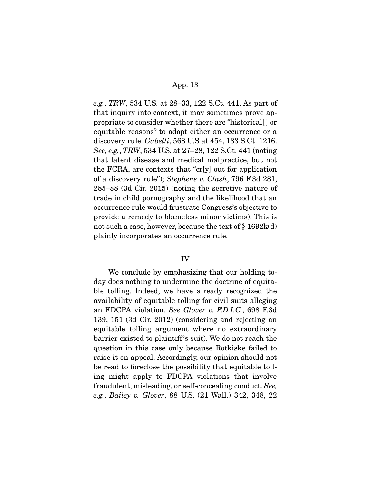*e.g.*, *TRW*, 534 U.S. at 28–33, 122 S.Ct. 441. As part of that inquiry into context, it may sometimes prove appropriate to consider whether there are "historical[ ] or equitable reasons" to adopt either an occurrence or a discovery rule. *Gabelli*, 568 U.S at 454, 133 S.Ct. 1216. *See, e.g.*, *TRW*, 534 U.S. at 27–28, 122 S.Ct. 441 (noting that latent disease and medical malpractice, but not the FCRA, are contexts that "cr[y] out for application of a discovery rule"); *Stephens v. Clash*, 796 F.3d 281, 285–88 (3d Cir. 2015) (noting the secretive nature of trade in child pornography and the likelihood that an occurrence rule would frustrate Congress's objective to provide a remedy to blameless minor victims). This is not such a case, however, because the text of § 1692k(d) plainly incorporates an occurrence rule.

### IV

 We conclude by emphasizing that our holding today does nothing to undermine the doctrine of equitable tolling. Indeed, we have already recognized the availability of equitable tolling for civil suits alleging an FDCPA violation. *See Glover v. F.D.I.C.*, 698 F.3d 139, 151 (3d Cir. 2012) (considering and rejecting an equitable tolling argument where no extraordinary barrier existed to plaintiff 's suit). We do not reach the question in this case only because Rotkiske failed to raise it on appeal. Accordingly, our opinion should not be read to foreclose the possibility that equitable tolling might apply to FDCPA violations that involve fraudulent, misleading, or self-concealing conduct. *See, e.g.*, *Bailey v. Glover*, 88 U.S. (21 Wall.) 342, 348, 22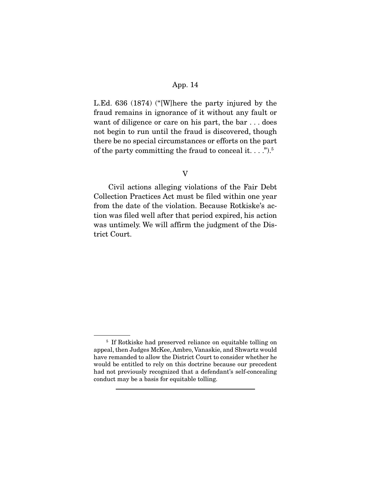L.Ed. 636 (1874) ("[W]here the party injured by the fraud remains in ignorance of it without any fault or want of diligence or care on his part, the bar . . . does not begin to run until the fraud is discovered, though there be no special circumstances or efforts on the part of the party committing the fraud to conceal it.  $\dots$ ").<sup>5</sup>

#### V

 Civil actions alleging violations of the Fair Debt Collection Practices Act must be filed within one year from the date of the violation. Because Rotkiske's action was filed well after that period expired, his action was untimely. We will affirm the judgment of the District Court.

<sup>5</sup> If Rotkiske had preserved reliance on equitable tolling on appeal, then Judges McKee, Ambro, Vanaskie, and Shwartz would have remanded to allow the District Court to consider whether he would be entitled to rely on this doctrine because our precedent had not previously recognized that a defendant's self-concealing conduct may be a basis for equitable tolling.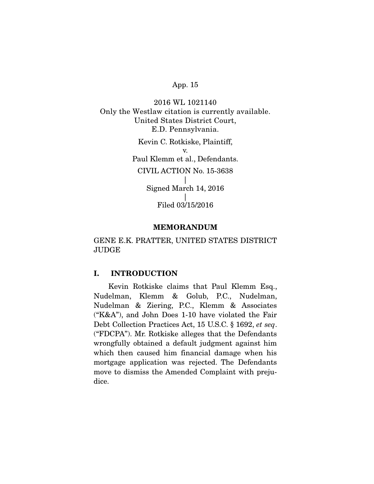2016 WL 1021140 Only the Westlaw citation is currently available. United States District Court, E.D. Pennsylvania. Kevin C. Rotkiske, Plaintiff, v. Paul Klemm et al., Defendants. CIVIL ACTION No. 15-3638 | Signed March 14, 2016  $\vert$ Filed 03/15/2016

#### MEMORANDUM

GENE E.K. PRATTER, UNITED STATES DISTRICT JUDGE

# I. INTRODUCTION

 Kevin Rotkiske claims that Paul Klemm Esq., Nudelman, Klemm & Golub, P.C., Nudelman, Nudelman & Ziering, P.C., Klemm & Associates ("K&A"), and John Does 1-10 have violated the Fair Debt Collection Practices Act, 15 U.S.C. § 1692, *et seq*. ("FDCPA"). Mr. Rotkiske alleges that the Defendants wrongfully obtained a default judgment against him which then caused him financial damage when his mortgage application was rejected. The Defendants move to dismiss the Amended Complaint with prejudice.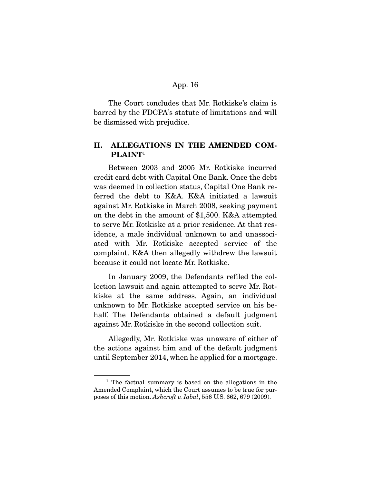The Court concludes that Mr. Rotkiske's claim is barred by the FDCPA's statute of limitations and will be dismissed with prejudice.

# II. ALLEGATIONS IN THE AMENDED COM-PLAINT<sup>1</sup>

 Between 2003 and 2005 Mr. Rotkiske incurred credit card debt with Capital One Bank. Once the debt was deemed in collection status, Capital One Bank referred the debt to K&A. K&A initiated a lawsuit against Mr. Rotkiske in March 2008, seeking payment on the debt in the amount of \$1,500. K&A attempted to serve Mr. Rotkiske at a prior residence. At that residence, a male individual unknown to and unassociated with Mr. Rotkiske accepted service of the complaint. K&A then allegedly withdrew the lawsuit because it could not locate Mr. Rotkiske.

 In January 2009, the Defendants refiled the collection lawsuit and again attempted to serve Mr. Rotkiske at the same address. Again, an individual unknown to Mr. Rotkiske accepted service on his behalf. The Defendants obtained a default judgment against Mr. Rotkiske in the second collection suit.

 Allegedly, Mr. Rotkiske was unaware of either of the actions against him and of the default judgment until September 2014, when he applied for a mortgage.

<sup>1</sup> The factual summary is based on the allegations in the Amended Complaint, which the Court assumes to be true for purposes of this motion. *Ashcroft v. Iqbal*, 556 U.S. 662, 679 (2009).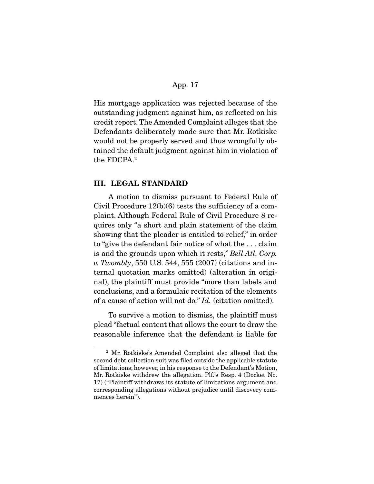His mortgage application was rejected because of the outstanding judgment against him, as reflected on his credit report. The Amended Complaint alleges that the Defendants deliberately made sure that Mr. Rotkiske would not be properly served and thus wrongfully obtained the default judgment against him in violation of the FDCPA.2

#### III. LEGAL STANDARD

 A motion to dismiss pursuant to Federal Rule of Civil Procedure  $12(b)(6)$  tests the sufficiency of a complaint. Although Federal Rule of Civil Procedure 8 requires only "a short and plain statement of the claim showing that the pleader is entitled to relief," in order to "give the defendant fair notice of what the . . . claim is and the grounds upon which it rests," *Bell Atl. Corp. v. Twombly*, 550 U.S. 544, 555 (2007) (citations and internal quotation marks omitted) (alteration in original), the plaintiff must provide "more than labels and conclusions, and a formulaic recitation of the elements of a cause of action will not do." *Id.* (citation omitted).

 To survive a motion to dismiss, the plaintiff must plead "factual content that allows the court to draw the reasonable inference that the defendant is liable for

<sup>2</sup> Mr. Rotkiske's Amended Complaint also alleged that the second debt collection suit was filed outside the applicable statute of limitations; however, in his response to the Defendant's Motion, Mr. Rotkiske withdrew the allegation. Plf.'s Resp. 4 (Docket No. 17) ("Plaintiff withdraws its statute of limitations argument and corresponding allegations without prejudice until discovery commences herein").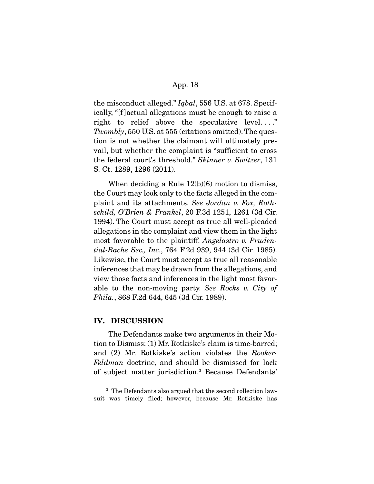the misconduct alleged." *Iqbal*, 556 U.S. at 678. Specifically, "[f ]actual allegations must be enough to raise a right to relief above the speculative level...." *Twombly*, 550 U.S. at 555 (citations omitted). The question is not whether the claimant will ultimately prevail, but whether the complaint is "sufficient to cross the federal court's threshold." *Skinner v. Switzer*, 131 S. Ct. 1289, 1296 (2011).

 When deciding a Rule 12(b)(6) motion to dismiss, the Court may look only to the facts alleged in the complaint and its attachments. *See Jordan v. Fox, Rothschild, O'Brien & Frankel*, 20 F.3d 1251, 1261 (3d Cir. 1994). The Court must accept as true all well-pleaded allegations in the complaint and view them in the light most favorable to the plaintiff. *Angelastro v. Prudential-Bache Sec., Inc.*, 764 F.2d 939, 944 (3d Cir. 1985). Likewise, the Court must accept as true all reasonable inferences that may be drawn from the allegations, and view those facts and inferences in the light most favorable to the non-moving party. *See Rocks v. City of Phila.*, 868 F.2d 644, 645 (3d Cir. 1989).

### IV. DISCUSSION

 The Defendants make two arguments in their Motion to Dismiss: (1) Mr. Rotkiske's claim is time-barred; and (2) Mr. Rotkiske's action violates the *Rooker-Feldman* doctrine, and should be dismissed for lack of subject matter jurisdiction.3 Because Defendants'

<sup>&</sup>lt;sup>3</sup> The Defendants also argued that the second collection lawsuit was timely filed; however, because Mr. Rotkiske has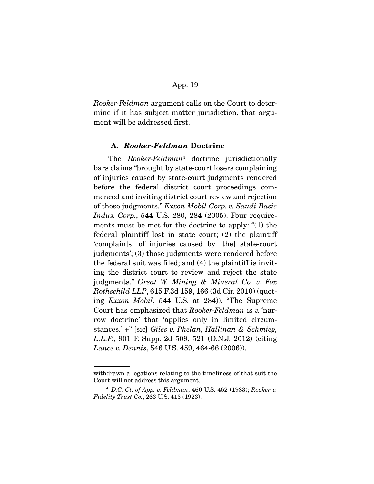*Rooker-Feldman* argument calls on the Court to determine if it has subject matter jurisdiction, that argument will be addressed first.

#### A. *Rooker-Feldman* Doctrine

 The *Rooker-Feldman*<sup>4</sup> doctrine jurisdictionally bars claims "brought by state-court losers complaining of injuries caused by state-court judgments rendered before the federal district court proceedings commenced and inviting district court review and rejection of those judgments." *Exxon Mobil Corp. v. Saudi Basic Indus. Corp.*, 544 U.S. 280, 284 (2005). Four requirements must be met for the doctrine to apply: "(1) the federal plaintiff lost in state court; (2) the plaintiff 'complain[s] of injuries caused by [the] state-court judgments'; (3) those judgments were rendered before the federal suit was filed; and (4) the plaintiff is inviting the district court to review and reject the state judgments." *Great W. Mining & Mineral Co. v. Fox Rothschild LLP*, 615 F.3d 159, 166 (3d Cir. 2010) (quoting *Exxon Mobil*, 544 U.S. at 284)). "The Supreme Court has emphasized that *Rooker-Feldman* is a 'narrow doctrine' that 'applies only in limited circumstances.' +" [sic] *Giles v. Phelan, Hallinan & Schmieg, L.L.P.*, 901 F. Supp. 2d 509, 521 (D.N.J. 2012) (citing *Lance v. Dennis*, 546 U.S. 459, 464-66 (2006)).

withdrawn allegations relating to the timeliness of that suit the Court will not address this argument.

<sup>4</sup> *D.C. Ct. of App. v. Feldman*, 460 U.S. 462 (1983); *Rooker v. Fidelity Trust Co.*, 263 U.S. 413 (1923).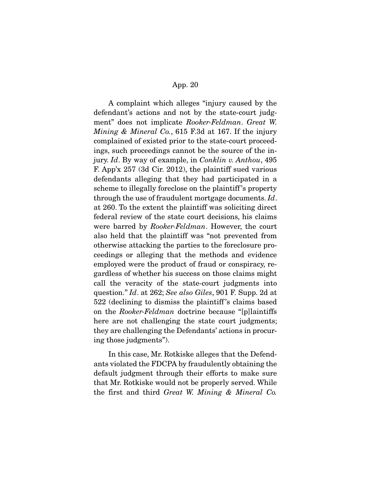A complaint which alleges "injury caused by the defendant's actions and not by the state-court judgment" does not implicate *Rooker-Feldman*. *Great W. Mining & Mineral Co.*, 615 F.3d at 167. If the injury complained of existed prior to the state-court proceedings, such proceedings cannot be the source of the injury. *Id*. By way of example, in *Conklin v. Anthou*, 495 F. App'x 257 (3d Cir. 2012), the plaintiff sued various defendants alleging that they had participated in a scheme to illegally foreclose on the plaintiff 's property through the use of fraudulent mortgage documents. *Id*. at 260. To the extent the plaintiff was soliciting direct federal review of the state court decisions, his claims were barred by *Rooker-Feldman*. However, the court also held that the plaintiff was "not prevented from otherwise attacking the parties to the foreclosure proceedings or alleging that the methods and evidence employed were the product of fraud or conspiracy, regardless of whether his success on those claims might call the veracity of the state-court judgments into question." *Id*. at 262; *See also Giles*, 901 F. Supp. 2d at 522 (declining to dismiss the plaintiff 's claims based on the *Rooker-Feldman* doctrine because "[p]laintiffs here are not challenging the state court judgments; they are challenging the Defendants' actions in procuring those judgments").

 In this case, Mr. Rotkiske alleges that the Defendants violated the FDCPA by fraudulently obtaining the default judgment through their efforts to make sure that Mr. Rotkiske would not be properly served. While the first and third *Great W. Mining & Mineral Co.*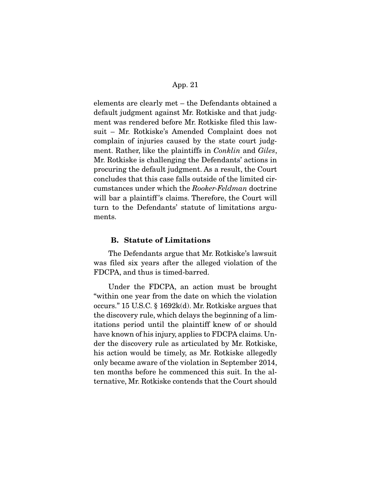elements are clearly met – the Defendants obtained a default judgment against Mr. Rotkiske and that judgment was rendered before Mr. Rotkiske filed this lawsuit – Mr. Rotkiske's Amended Complaint does not complain of injuries caused by the state court judgment. Rather, like the plaintiffs in *Conklin* and *Giles*, Mr. Rotkiske is challenging the Defendants' actions in procuring the default judgment. As a result, the Court concludes that this case falls outside of the limited circumstances under which the *Rooker-Feldman* doctrine will bar a plaintiff's claims. Therefore, the Court will turn to the Defendants' statute of limitations arguments.

#### B. Statute of Limitations

 The Defendants argue that Mr. Rotkiske's lawsuit was filed six years after the alleged violation of the FDCPA, and thus is timed-barred.

 Under the FDCPA, an action must be brought "within one year from the date on which the violation occurs." 15 U.S.C. § 1692k(d). Mr. Rotkiske argues that the discovery rule, which delays the beginning of a limitations period until the plaintiff knew of or should have known of his injury, applies to FDCPA claims. Under the discovery rule as articulated by Mr. Rotkiske, his action would be timely, as Mr. Rotkiske allegedly only became aware of the violation in September 2014, ten months before he commenced this suit. In the alternative, Mr. Rotkiske contends that the Court should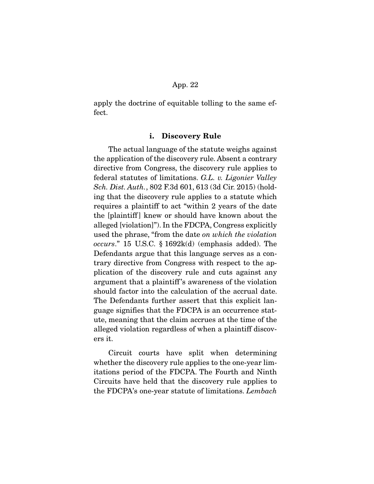apply the doctrine of equitable tolling to the same effect.

#### i. Discovery Rule

 The actual language of the statute weighs against the application of the discovery rule. Absent a contrary directive from Congress, the discovery rule applies to federal statutes of limitations. *G.L. v. Ligonier Valley Sch. Dist. Auth.*, 802 F.3d 601, 613 (3d Cir. 2015) (holding that the discovery rule applies to a statute which requires a plaintiff to act "within 2 years of the date the [plaintiff] knew or should have known about the alleged [violation]"). In the FDCPA, Congress explicitly used the phrase, "from the date *on which the violation occurs*." 15 U.S.C. § 1692k(d) (emphasis added). The Defendants argue that this language serves as a contrary directive from Congress with respect to the application of the discovery rule and cuts against any argument that a plaintiff 's awareness of the violation should factor into the calculation of the accrual date. The Defendants further assert that this explicit language signifies that the FDCPA is an occurrence statute, meaning that the claim accrues at the time of the alleged violation regardless of when a plaintiff discovers it.

 Circuit courts have split when determining whether the discovery rule applies to the one-year limitations period of the FDCPA. The Fourth and Ninth Circuits have held that the discovery rule applies to the FDCPA's one-year statute of limitations. *Lembach*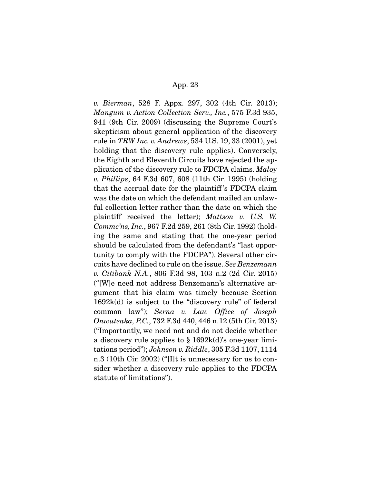*v. Bierman*, 528 F. Appx. 297, 302 (4th Cir. 2013); *Mangum v. Action Collection Serv., Inc.*, 575 F.3d 935, 941 (9th Cir. 2009) (discussing the Supreme Court's skepticism about general application of the discovery rule in *TRW Inc. v. Andrews*, 534 U.S. 19, 33 (2001), yet holding that the discovery rule applies). Conversely, the Eighth and Eleventh Circuits have rejected the application of the discovery rule to FDCPA claims. *Maloy v. Phillips*, 64 F.3d 607, 608 (11th Cir. 1995) (holding that the accrual date for the plaintiff 's FDCPA claim was the date on which the defendant mailed an unlawful collection letter rather than the date on which the plaintiff received the letter); *Mattson v. U.S. W. Commc'ns, Inc.*, 967 F.2d 259, 261 (8th Cir. 1992) (holding the same and stating that the one-year period should be calculated from the defendant's "last opportunity to comply with the FDCPA"). Several other circuits have declined to rule on the issue. *See Benzemann v. Citibank N.A.*, 806 F.3d 98, 103 n.2 (2d Cir. 2015) ("[W]e need not address Benzemann's alternative argument that his claim was timely because Section 1692k(d) is subject to the "discovery rule" of federal common law"); *Serna v. Law Office of Joseph Onwuteaka, P.C.*, 732 F.3d 440, 446 n.12 (5th Cir. 2013) ("Importantly, we need not and do not decide whether a discovery rule applies to § 1692k(d)'s one-year limitations period"); *Johnson v. Riddle*, 305 F.3d 1107, 1114 n.3 (10th Cir. 2002) ("[I]t is unnecessary for us to consider whether a discovery rule applies to the FDCPA statute of limitations").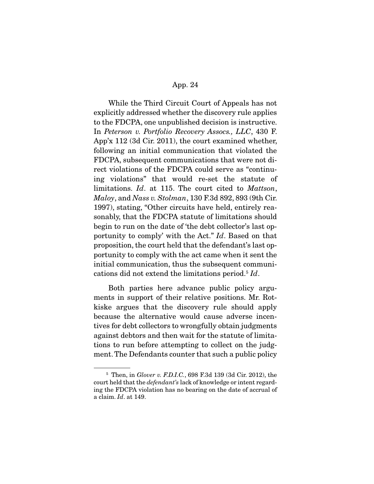While the Third Circuit Court of Appeals has not explicitly addressed whether the discovery rule applies to the FDCPA, one unpublished decision is instructive. In *Peterson v. Portfolio Recovery Assocs., LLC*, 430 F. App'x 112 (3d Cir. 2011), the court examined whether, following an initial communication that violated the FDCPA, subsequent communications that were not direct violations of the FDCPA could serve as "continuing violations" that would re-set the statute of limitations. *Id*. at 115. The court cited to *Mattson*, *Maloy*, and *Nass v. Stolman*, 130 F.3d 892, 893 (9th Cir. 1997), stating, "Other circuits have held, entirely reasonably, that the FDCPA statute of limitations should begin to run on the date of 'the debt collector's last opportunity to comply' with the Act." *Id*. Based on that proposition, the court held that the defendant's last opportunity to comply with the act came when it sent the initial communication, thus the subsequent communications did not extend the limitations period.5 *Id*.

 Both parties here advance public policy arguments in support of their relative positions. Mr. Rotkiske argues that the discovery rule should apply because the alternative would cause adverse incentives for debt collectors to wrongfully obtain judgments against debtors and then wait for the statute of limitations to run before attempting to collect on the judgment. The Defendants counter that such a public policy

<sup>5</sup> Then, in *Glover v. F.D.I.C.*, 698 F.3d 139 (3d Cir. 2012), the court held that the *defendant's* lack of knowledge or intent regarding the FDCPA violation has no bearing on the date of accrual of a claim. *Id*. at 149.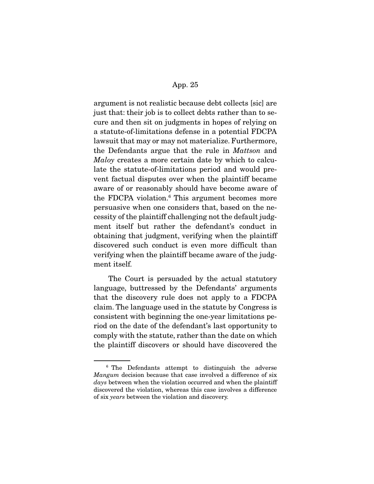argument is not realistic because debt collects [sic] are just that: their job is to collect debts rather than to secure and then sit on judgments in hopes of relying on a statute-of-limitations defense in a potential FDCPA lawsuit that may or may not materialize. Furthermore, the Defendants argue that the rule in *Mattson* and *Maloy* creates a more certain date by which to calculate the statute-of-limitations period and would prevent factual disputes over when the plaintiff became aware of or reasonably should have become aware of the FDCPA violation.6 This argument becomes more persuasive when one considers that, based on the necessity of the plaintiff challenging not the default judgment itself but rather the defendant's conduct in obtaining that judgment, verifying when the plaintiff discovered such conduct is even more difficult than verifying when the plaintiff became aware of the judgment itself.

 The Court is persuaded by the actual statutory language, buttressed by the Defendants' arguments that the discovery rule does not apply to a FDCPA claim. The language used in the statute by Congress is consistent with beginning the one-year limitations period on the date of the defendant's last opportunity to comply with the statute, rather than the date on which the plaintiff discovers or should have discovered the

<sup>&</sup>lt;sup>6</sup> The Defendants attempt to distinguish the adverse *Mangum* decision because that case involved a difference of six *days* between when the violation occurred and when the plaintiff discovered the violation, whereas this case involves a difference of six *years* between the violation and discovery.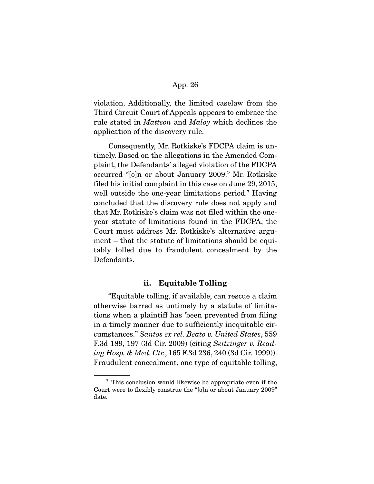violation. Additionally, the limited caselaw from the Third Circuit Court of Appeals appears to embrace the rule stated in *Mattson* and *Maloy* which declines the application of the discovery rule.

 Consequently, Mr. Rotkiske's FDCPA claim is untimely. Based on the allegations in the Amended Complaint, the Defendants' alleged violation of the FDCPA occurred "[o]n or about January 2009." Mr. Rotkiske filed his initial complaint in this case on June 29, 2015, well outside the one-year limitations period.7 Having concluded that the discovery rule does not apply and that Mr. Rotkiske's claim was not filed within the oneyear statute of limitations found in the FDCPA, the Court must address Mr. Rotkiske's alternative argument – that the statute of limitations should be equitably tolled due to fraudulent concealment by the Defendants.

### ii. Equitable Tolling

 "Equitable tolling, if available, can rescue a claim otherwise barred as untimely by a statute of limitations when a plaintiff has 'been prevented from filing in a timely manner due to sufficiently inequitable circumstances." *Santos ex rel. Beato v. United States*, 559 F.3d 189, 197 (3d Cir. 2009) (citing *Seitzinger v. Reading Hosp. & Med. Ctr.*, 165 F.3d 236, 240 (3d Cir. 1999)). Fraudulent concealment, one type of equitable tolling,

<sup>7</sup> This conclusion would likewise be appropriate even if the Court were to flexibly construe the "[o]n or about January 2009" date.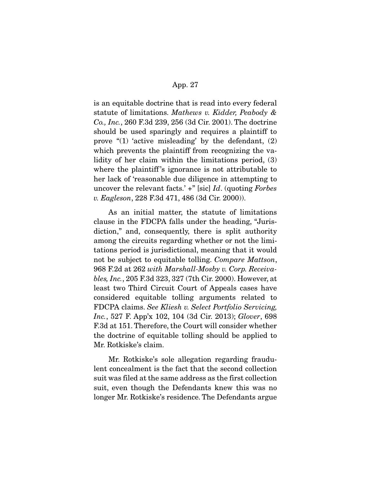is an equitable doctrine that is read into every federal statute of limitations. *Mathews v. Kidder, Peabody & Co., Inc.*, 260 F.3d 239, 256 (3d Cir. 2001). The doctrine should be used sparingly and requires a plaintiff to prove "(1) 'active misleading' by the defendant, (2) which prevents the plaintiff from recognizing the validity of her claim within the limitations period, (3) where the plaintiff's ignorance is not attributable to her lack of 'reasonable due diligence in attempting to uncover the relevant facts.' +" [sic] *Id*. (quoting *Forbes v. Eagleson*, 228 F.3d 471, 486 (3d Cir. 2000)).

 As an initial matter, the statute of limitations clause in the FDCPA falls under the heading, "Jurisdiction," and, consequently, there is split authority among the circuits regarding whether or not the limitations period is jurisdictional, meaning that it would not be subject to equitable tolling. *Compare Mattson*, 968 F.2d at 262 *with Marshall-Mosby v. Corp. Receivables, Inc.*, 205 F.3d 323, 327 (7th Cir. 2000). However, at least two Third Circuit Court of Appeals cases have considered equitable tolling arguments related to FDCPA claims. *See Kliesh v. Select Portfolio Servicing, Inc.*, 527 F. App'x 102, 104 (3d Cir. 2013); *Glover*, 698 F.3d at 151. Therefore, the Court will consider whether the doctrine of equitable tolling should be applied to Mr. Rotkiske's claim.

 Mr. Rotkiske's sole allegation regarding fraudulent concealment is the fact that the second collection suit was filed at the same address as the first collection suit, even though the Defendants knew this was no longer Mr. Rotkiske's residence. The Defendants argue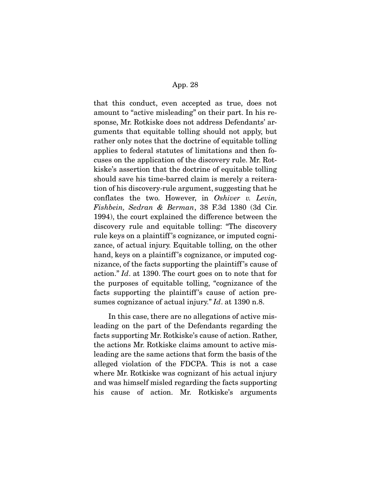that this conduct, even accepted as true, does not amount to "active misleading" on their part. In his response, Mr. Rotkiske does not address Defendants' arguments that equitable tolling should not apply, but rather only notes that the doctrine of equitable tolling applies to federal statutes of limitations and then focuses on the application of the discovery rule. Mr. Rotkiske's assertion that the doctrine of equitable tolling should save his time-barred claim is merely a reiteration of his discovery-rule argument, suggesting that he conflates the two. However, in *Oshiver v. Levin, Fishbein, Sedran & Berman*, 38 F.3d 1380 (3d Cir. 1994), the court explained the difference between the discovery rule and equitable tolling: "The discovery rule keys on a plaintiff 's cognizance, or imputed cognizance, of actual injury. Equitable tolling, on the other hand, keys on a plaintiff's cognizance, or imputed cognizance, of the facts supporting the plaintiff 's cause of action." *Id*. at 1390. The court goes on to note that for the purposes of equitable tolling, "cognizance of the facts supporting the plaintiff's cause of action presumes cognizance of actual injury." *Id*. at 1390 n.8.

 In this case, there are no allegations of active misleading on the part of the Defendants regarding the facts supporting Mr. Rotkiske's cause of action. Rather, the actions Mr. Rotkiske claims amount to active misleading are the same actions that form the basis of the alleged violation of the FDCPA. This is not a case where Mr. Rotkiske was cognizant of his actual injury and was himself misled regarding the facts supporting his cause of action. Mr. Rotkiske's arguments